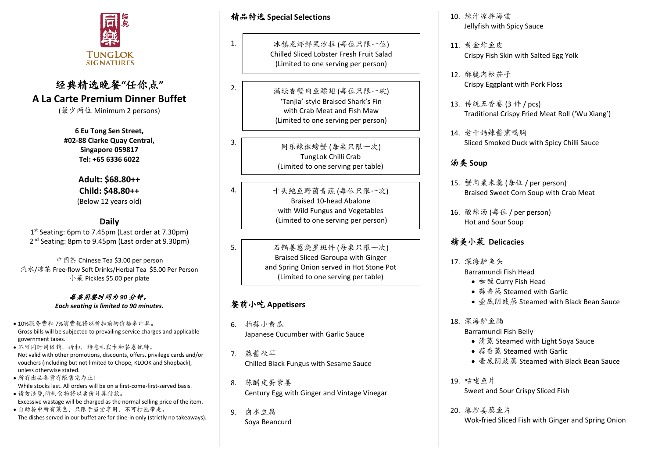

# 经典精选晚餐**"**任你点**" A La Carte Premium Dinner Buffet**

(最少两位 Minimum 2 persons)

**6 Eu Tong Sen Street, #02-88 Clarke Quay Central, Singapore 059817 Tel: +65 6336 6022**

> **Adult: \$68.80++ Child: \$48.80++**  (Below 12 years old)

## **Daily**

1 st Seating: 6pm to 7.45pm (Last order at 7.30pm) 2<sup>nd</sup> Seating: 8pm to 9.45pm (Last order at 9.30pm)

中国茶 Chinese Tea \$3.00 per person 汽水/凉茶 Free-flow Soft Drinks/Herbal Tea \$5.00 Per Person 小菜 Pickles \$5.00 per plate

> 每桌用餐时间为 *90* 分钟。 *Each seating is limited to 90 minutes.*

- 10%服务费和 7%消费税将以折扣前的价格来计算。 Gross bills will be subjected to prevailing service charges and applicable government taxes.
- 不可同时用促销,折扣,特惠礼宾卡和餐卷优特。 Not valid with other promotions, discounts, offers, privilege cards and/or vouchers (including but not limited to Chope, KLOOK and Shopback), unless otherwise stated.
- 所有出品备货有限售完为止! While stocks last. All orders will be on a first-come-first-served basis.
- 请勿浪费,所剩食物将以卖价计算付款。
- Excessive wastage will be charged as the normal selling price of the item. • 自助餐中所有菜色,只限于当堂享用,不可打包带走。 The dishes served in our buffet are for dine-in only (strictly no takeaways).

精品特选 **Special Selections**

1.

2.

3.

4.

5.

冰镇龙虾鲜果沙拉 (每位只限一位) Chilled Sliced Lobster Fresh Fruit Salad (Limited to one serving per person)

满坛香蟹肉鱼鳔翅 (每位只限一碗) 'Tanjia'-style Braised Shark's Fin with Crab Meat and Fish Maw (Limited to one serving per person)

> 同乐辣椒螃蟹 (每桌只限一次) TungLok Chilli Crab (Limited to one serving per table)

十头鲍鱼野菌青蔬 (每位只限一次) Braised 10-head Abalone with Wild Fungus and Vegetables (Limited to one serving per person)

石锅姜葱烧星斑件 (每桌只限一次) Braised Sliced Garoupa with Ginger and Spring Onion served in Hot Stone Pot (Limited to one serving per table)

#### 餐前小吃 **Appetisers**

- 6. 拍蒜小黄瓜 Japanese Cucumber with Garlic Sauce
- 7. 蔴酱秋耳 Chilled Black Fungus with Sesame Sauce
- 8. 陈醋皮蛋紫姜 Century Egg with Ginger and Vintage Vinegar
- 9. 卤水豆腐 Soya Beancurd
- 10. 辣汁凉拌海蜇 Jellyfish with Spicy Sauce
- 11. 黄金炸鱼皮 Crispy Fish Skin with Salted Egg Yolk
- 12. 酥脆肉松茄子 Crispy Eggplant with Pork Floss
- 13. 传统五香卷 (3 件 / pcs) Traditional Crispy Fried Meat Roll ('Wu Xiang')
- 14. 老干妈辣酱熏鸭胸 Sliced Smoked Duck with Spicy Chilli Sauce

## 汤类 **Soup**

- 15. 蟹肉粟米羹 (每位 / per person) Braised Sweet Corn Soup with Crab Meat
- 16. 酸辣汤 (每位 / per person) Hot and Sour Soup

# 精美小菜 **Delicacies**

- 17. 深海鲈鱼头 Barramundi Fish Head
	- 咖喱 Curry Fish Head
	- 蒜香蒸 Steamed with Garlic
	- 壶底阴豉蒸 Steamed with Black Bean Sauce
- 18. 深海鲈鱼腩

Barramundi Fish Belly

- 清蒸 Steamed with Light Soya Sauce
- 蒜香蒸 Steamed with Garlic
- 壶底阴豉蒸 Steamed with Black Bean Sauce

19. 咕咾鱼片 Sweet and Sour Crispy Sliced Fish

20. 爆炒姜葱鱼片 Wok-fried Sliced Fish with Ginger and Spring Onion